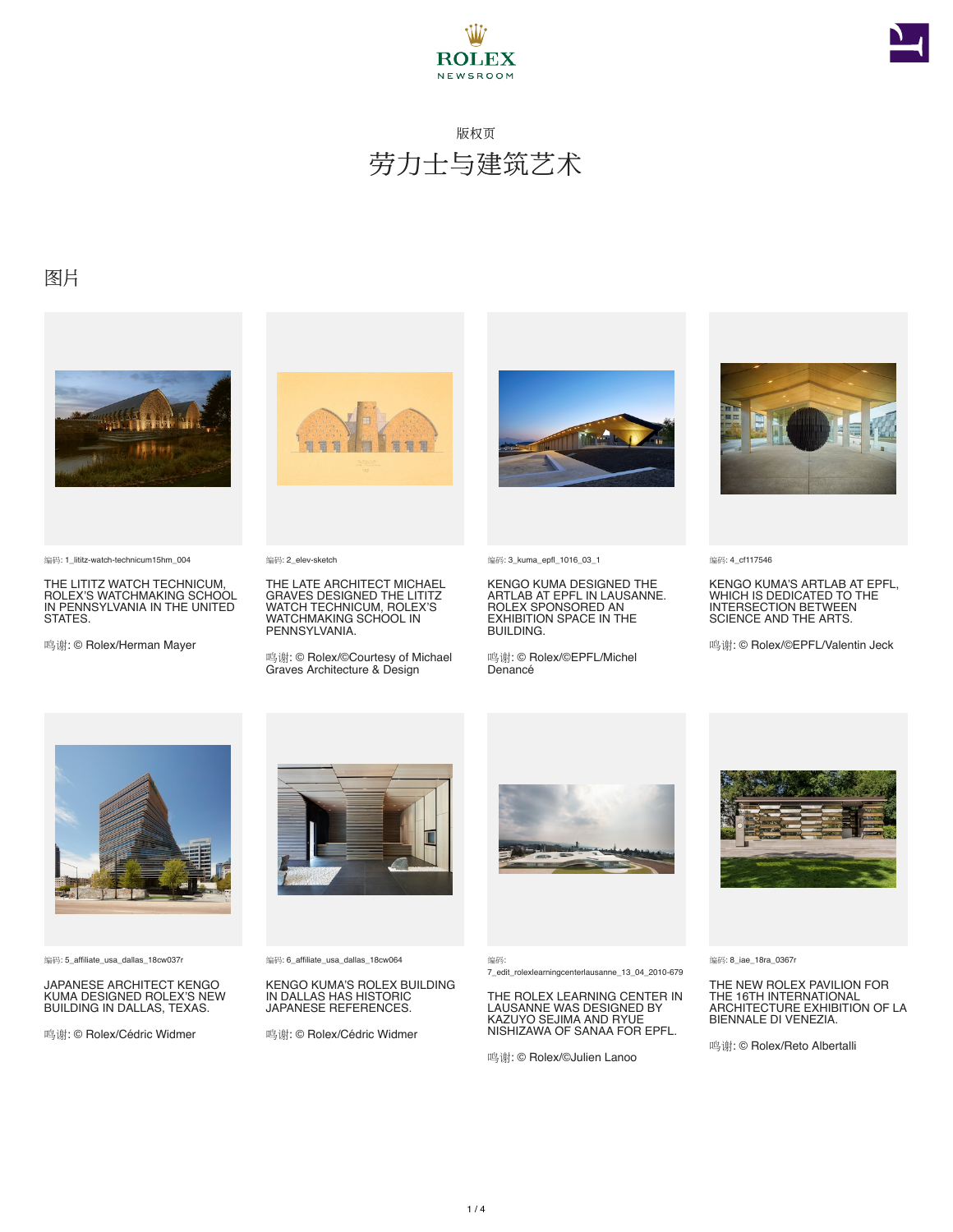



### 图片



编码: 1\_lititz-watch-technicum15hm\_004

THE LITITZ WATCH TECHNICUM, ROLEX'S WATCHMAKING SCHOOL IN PENNSYLVANIA IN THE UNITED STATES.

鸣谢: © Rolex/Herman Mayer



编码: 2\_elev-sketch

THE LATE ARCHITECT MICHAEL GRAVES DESIGNED THE LITITZ WATCH TECHNICUM, ROLEX'S WATCHMAKING SCHOOL IN PENNSYLVANIA.

鸣谢: © Rolex/©Courtesy of Michael Graves Architecture & Design



编码: 3\_kuma\_epfl\_1016\_03\_1

KENGO KUMA DESIGNED THE ARTLAB AT EPFL IN LAUSANNE. ROLEX SPONSORED AN EXHIBITION SPACE IN THE **BUILDING** 

鸣谢: © Rolex/©EPFL/Michel Denancé



编码: 4\_cf117546

KENGO KUMA'S ARTLAB AT EPFL, WHICH IS DEDICATED TO THE INTERSECTION BETWEEN SCIENCE AND THE ARTS.

鸣谢: © Rolex/©EPFL/Valentin Jeck



编码: 5\_affiliate\_usa\_dallas\_18cw037r

JAPANESE ARCHITECT KENGO KUMA DESIGNED ROLEX'S NEW BUILDING IN DALLAS, TEXAS.

鸣谢: © Rolex/Cédric Widmer



编码: 6\_affiliate\_usa\_dallas\_18cw064

KENGO KUMA'S ROLEX BUILDING IN DALLAS HAS HISTORIC JAPANESE REFERENCES.

鸣谢: © Rolex/Cédric Widmer



编码:

7\_edit\_rolexlearningcenterlausanne\_13\_04\_2010-679

THE ROLEX LEARNING CENTER IN LAUSANNE WAS DESIGNED BY KAZUYO SEJIMA AND RYUE NISHIZAWA OF SANAA FOR EPFL.

鸣谢: © Rolex/©Julien Lanoo



编码: 8\_iae\_18ra\_0367r

THE NEW ROLEX PAVILION FOR THE 16TH INTERNATIONAL ARCHITECTURE EXHIBITION OF LA BIENNALE DI VENEZIA.

鸣谢: © Rolex/Reto Albertalli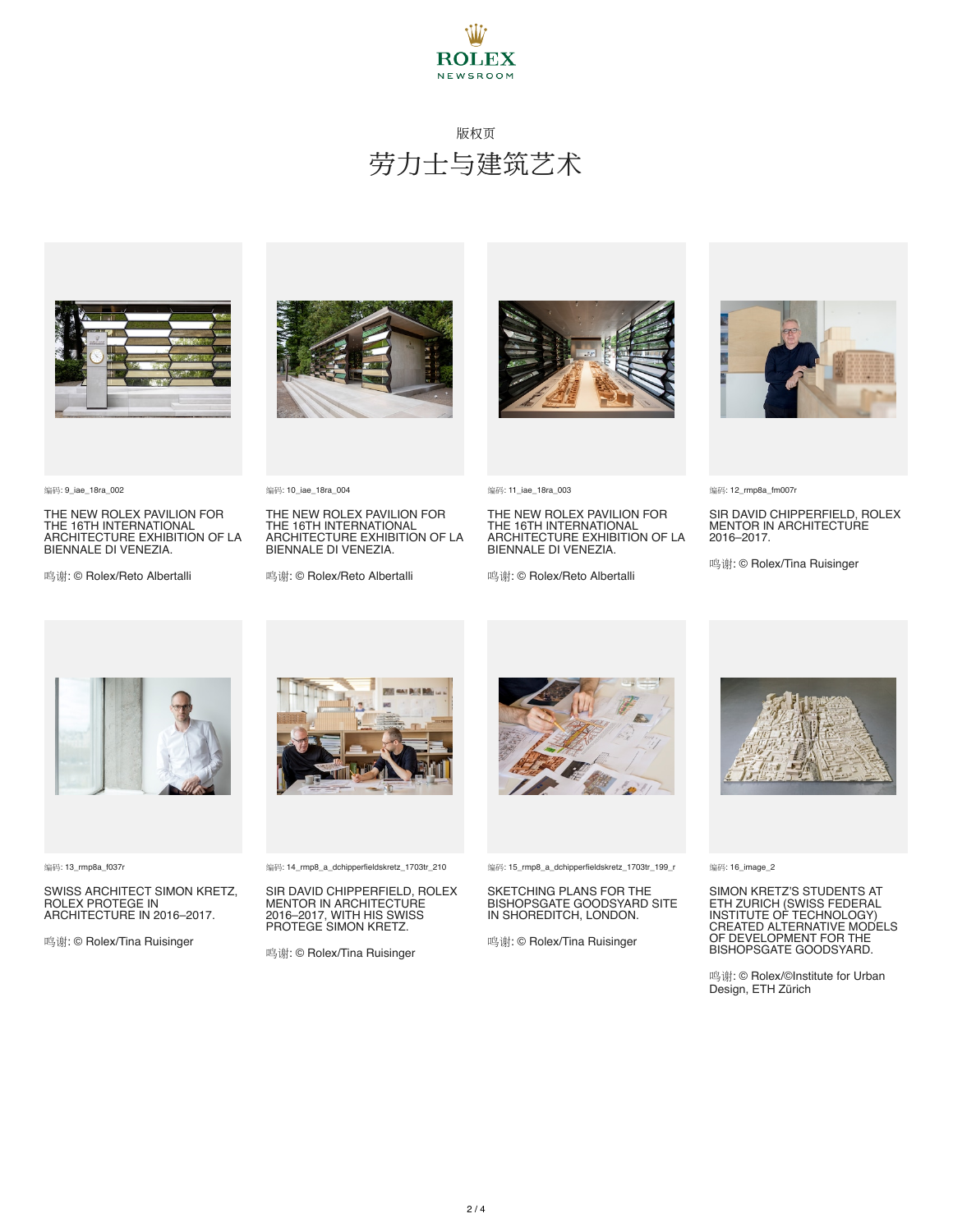



编码: 9\_iae\_18ra\_002

THE NEW ROLEX PAVILION FOR THE 16TH INTERNATIONAL ARCHITECTURE EXHIBITION OF LA BIENNALE DI VENEZIA.

鸣谢: © Rolex/Reto Albertalli



编码: 10\_iae\_18ra\_004

THE NEW ROLEX PAVILION FOR THE 16TH INTERNATIONAL ARCHITECTURE EXHIBITION OF LA BIENNALE DI VENEZIA.

鸣谢: © Rolex/Reto Albertalli



编码: 11\_iae\_18ra\_003

THE NEW ROLEX PAVILION FOR THE 16TH INTERNATIONAL ARCHITECTURE EXHIBITION OF LA BIENNALE DI VENEZIA.

鸣谢: © Rolex/Reto Albertalli



编码: 12\_rmp8a\_fm007r

SIR DAVID CHIPPERFIELD, ROLEX MENTOR IN ARCHITECTURE 2016–2017.

鸣谢: © Rolex/Tina Ruisinger



编码: 13\_rmp8a\_f037r

SWISS ARCHITECT SIMON KRETZ, ROLEX PROTEGE IN ARCHITECTURE IN 2016–2017.

鸣谢: © Rolex/Tina Ruisinger



编码: 14\_rmp8\_a\_dchipperfieldskretz\_1703tr\_210

SIR DAVID CHIPPERFIELD, ROLEX **MENTOR IN ARCHITECTURE** 2016–2017, WITH HIS SWISS PROTEGE SIMON KRETZ.

鸣谢: © Rolex/Tina Ruisinger



编码: 15\_rmp8\_a\_dchipperfieldskretz\_1703tr\_199\_r

#### SKETCHING PLANS FOR THE BISHOPSGATE GOODSYARD SITE IN SHOREDITCH, LONDON.

鸣谢: © Rolex/Tina Ruisinger



编码: 16\_image\_2

SIMON KRETZ'S STUDENTS AT ETH ZURICH (SWISS FEDERAL<br>INSTITUTE OF TECHNOLOGY)<br>CREATED ALTERNATIVE MODELS<br>OF DEVELOPMENT FOR THE<br>BISHOPSGATE GOODSYARD.

鸣谢: © Rolex/©Institute for Urban Design, ETH Zürich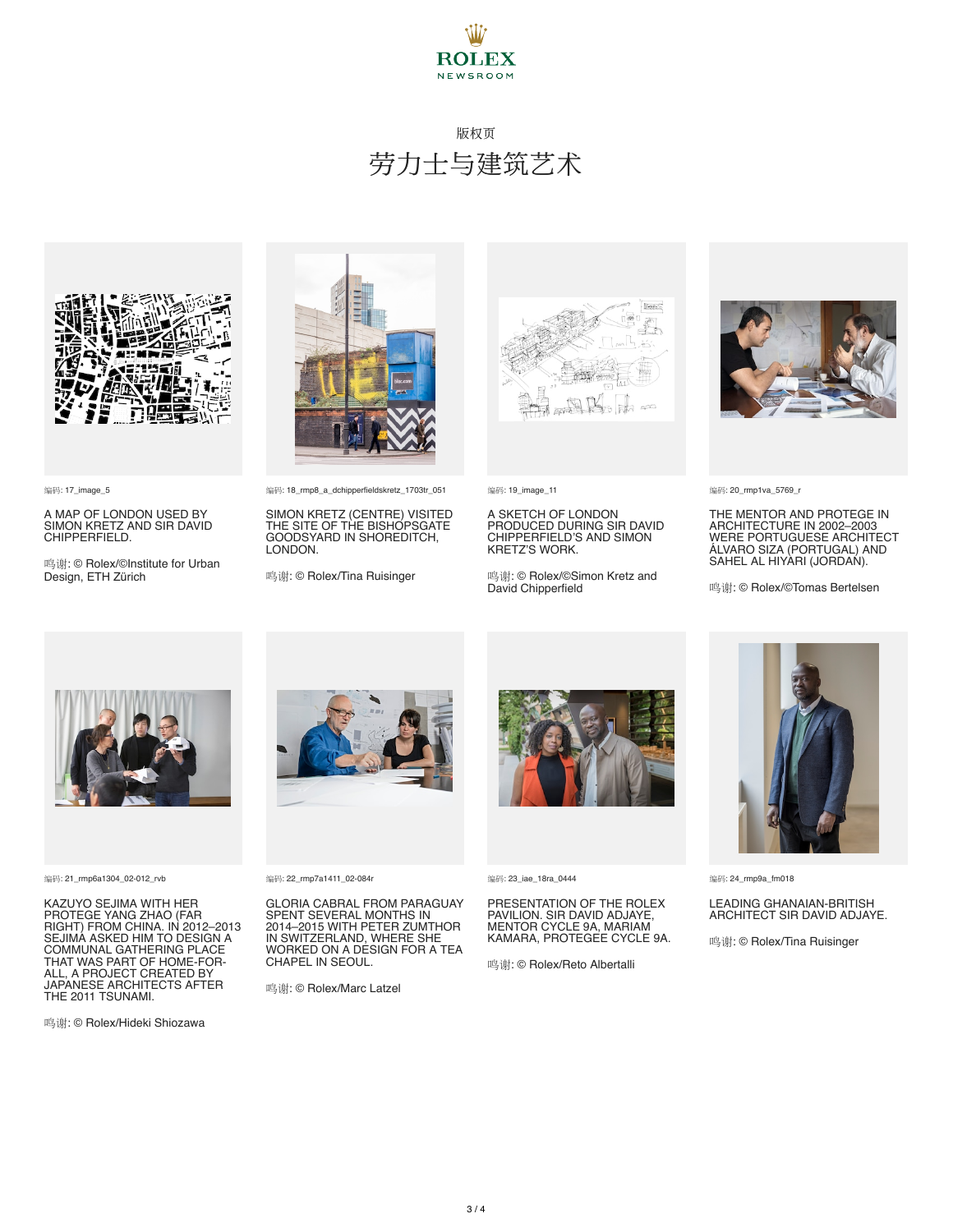



编码: 17\_image\_5

A MAP OF LONDON USED BY SIMON KRETZ AND SIR DAVID CHIPPERFIELD.

鸣谢: © Rolex/©Institute for Urban Design, ETH Zürich



编码: 18\_rmp8\_a\_dchipperfieldskretz\_1703tr\_051

SIMON KRETZ (CENTRE) VISITED THE SITE OF THE BISHOPSGATE GOODSYARD IN SHOREDITCH, LONDON.

鸣谢: © Rolex/Tina Ruisinger



编码: 19\_image\_11

A SKETCH OF LONDON PRODUCED DURING SIR DAVID CHIPPERFIELD'S AND SIMON KRETZ'S WORK.

鸣谢: © Rolex/©Simon Kretz and David Chipperfield



编码: 20\_rmp1va\_5769\_r

THE MENTOR AND PROTEGE IN<br>ARCHITECTURE IN 2002–2003<br>WERE PORTUGUESE ARCHITECT<br>ÁLVARO SIZA (PORTUGAL) AND<br>SAHEL AL HIYARI (JORDAN).

鸣谢: © Rolex/©Tomas Bertelsen



编码: 21\_rmp6a1304\_02-012\_rvb

KAZUYO SEJIMA WITH HER PROTEGE YANG ZHAO (FAR RIGHT) FROM CHINA. IN 2012–2013 SEJIMA ASKED HIM TO DESIGN A COMMUNAL GATHERING PLACE THAT WAS PART OF HOME-FOR-ALL, A PROJECT CREATED BY JAPANESE ARCHITECTS AFTER THE 2011 TSUNAMI.

鸣谢: © Rolex/Hideki Shiozawa



编码: 22\_rmp7a1411\_02-084r

GLORIA CABRAL FROM PARAGUAY SPENT SEVERAL MONTHS IN 2014–2015 WITH PETER ZUMTHOR IN SWITZERLAND, WHERE SHE WORKED ON A DESIGN FOR A TEA CHAPEL IN SEOUL.

鸣谢: © Rolex/Marc Latzel



编码: 23\_iae\_18ra\_0444

PRESENTATION OF THE ROLEX PAVILION. SIR DAVID ADJAYE, MENTOR CYCLE 9A, MARIAM KAMARA, PROTEGEE CYCLE 9A.

鸣谢: © Rolex/Reto Albertalli



编码: 24\_rmp9a\_fm018

#### LEADING GHANAIAN-BRITISH ARCHITECT SIR DAVID ADJAYE.

鸣谢: © Rolex/Tina Ruisinger